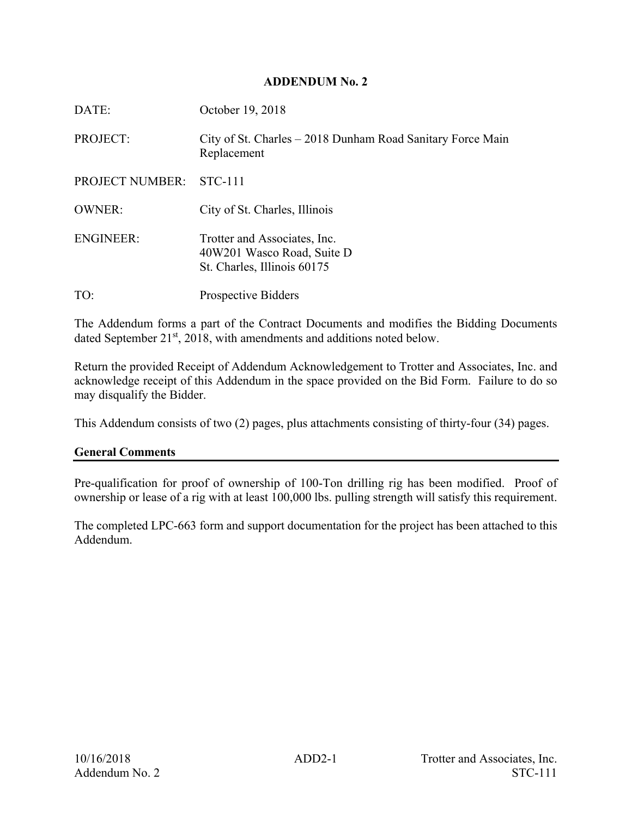#### **ADDENDUM No. 2**

| DATE:                  | October 19, 2018                                                                          |
|------------------------|-------------------------------------------------------------------------------------------|
| PROJECT:               | City of St. Charles – 2018 Dunham Road Sanitary Force Main<br>Replacement                 |
| <b>PROJECT NUMBER:</b> | STC-111                                                                                   |
| <b>OWNER:</b>          | City of St. Charles, Illinois                                                             |
| <b>ENGINEER:</b>       | Trotter and Associates, Inc.<br>40W201 Wasco Road, Suite D<br>St. Charles, Illinois 60175 |
| TO:                    | <b>Prospective Bidders</b>                                                                |

The Addendum forms a part of the Contract Documents and modifies the Bidding Documents dated September 21<sup>st</sup>, 2018, with amendments and additions noted below.

Return the provided Receipt of Addendum Acknowledgement to Trotter and Associates, Inc. and acknowledge receipt of this Addendum in the space provided on the Bid Form. Failure to do so may disqualify the Bidder.

This Addendum consists of two (2) pages, plus attachments consisting of thirty-four (34) pages.

## **General Comments**

Pre-qualification for proof of ownership of 100-Ton drilling rig has been modified. Proof of ownership or lease of a rig with at least 100,000 lbs. pulling strength will satisfy this requirement.

The completed LPC-663 form and support documentation for the project has been attached to this Addendum.